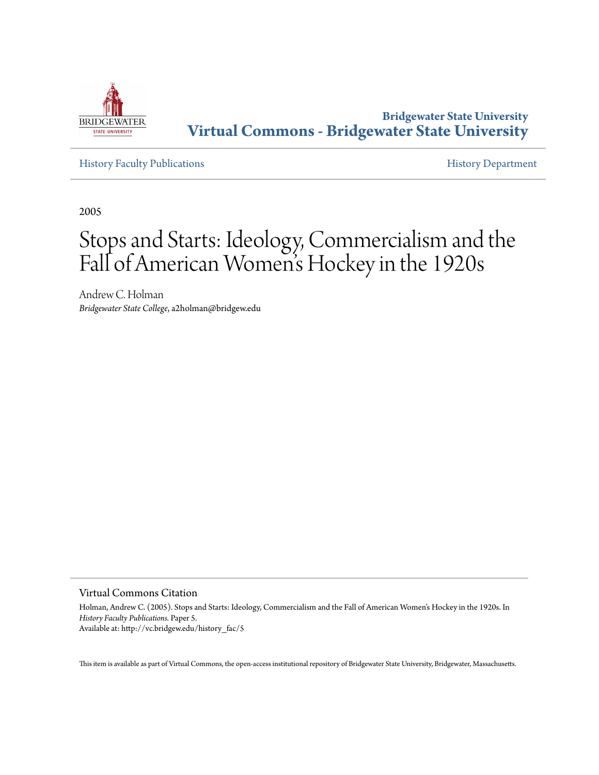

# **Bridgewater State University [Virtual Commons - Bridgewater State University](http://vc.bridgew.edu)**

[History Faculty Publications](http://vc.bridgew.edu/history_fac) **[History Department](http://vc.bridgew.edu/history)** 

2005

# Stops and Starts: Ideology, Commercialism and the Fall of American Women 's Hockey in the 1920s

Andrew C. Holman *Bridgewater State College*, a2holman@bridgew.edu

Virtual Commons Citation

Holman, Andrew C. (2005). Stops and Starts: Ideology, Commercialism and the Fall of American Women's Hockey in the 1920s. In *History Faculty Publications.* Paper 5. Available at: http://vc.bridgew.edu/history\_fac/5

This item is available as part of Virtual Commons, the open-access institutional repository of Bridgewater State University, Bridgewater, Massachusetts.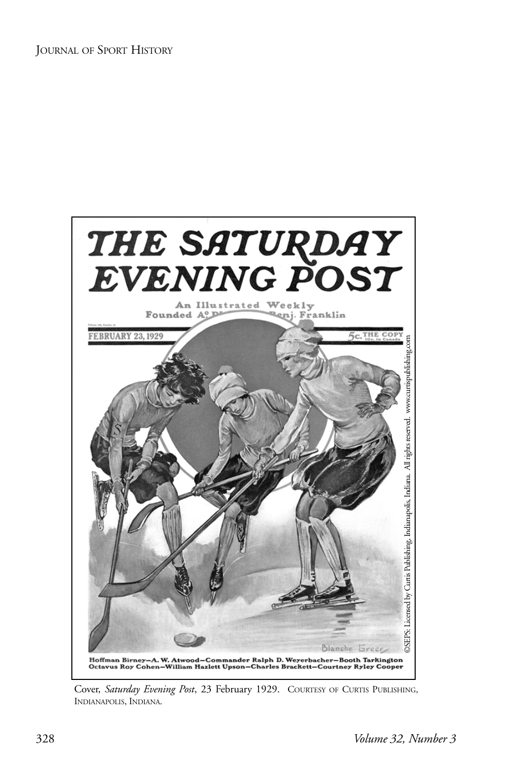

Cover, *Saturday Evening Post*, 23 February 1929. COURTESY OF CURTIS PUBLISHING, INDIANAPOLIS, INDIANA.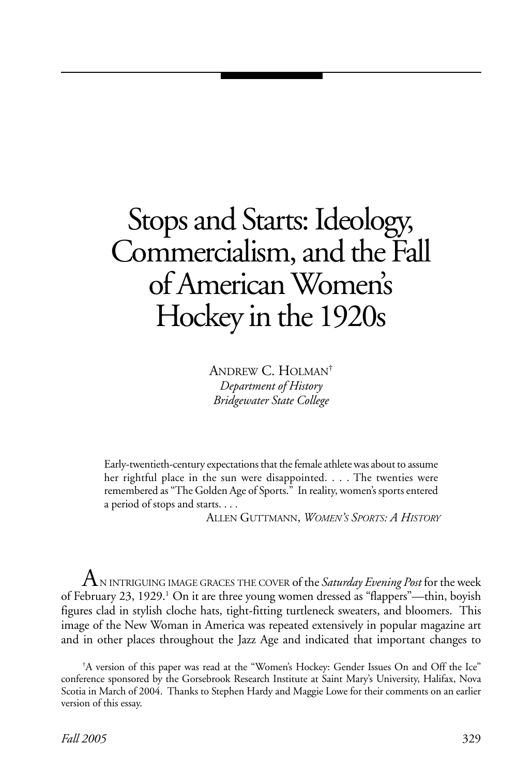# Stops and Starts: Ideology, Commercialism, and the Fall of American Women's Hockey in the 1920s

ANDREW C. HOLMAN† *Department of History Bridgewater State College*

Early-twentieth-century expectations that the female athlete was about to assume her rightful place in the sun were disappointed. . . . The twenties were remembered as "The Golden Age of Sports." In reality, women's sports entered a period of stops and starts. . . .

ALLEN GUTTMANN, *WOMEN'S SPORTS: A HISTORY*

 $\mathrm A$ n intriguing image graces the cover of the *Saturday Evening Post* for the week of February 23, 1929.<sup>1</sup> On it are three young women dressed as "flappers"—thin, boyish figures clad in stylish cloche hats, tight-fitting turtleneck sweaters, and bloomers. This image of the New Woman in America was repeated extensively in popular magazine art and in other places throughout the Jazz Age and indicated that important changes to

<sup>†</sup> A version of this paper was read at the "Women's Hockey: Gender Issues On and Off the Ice" conference sponsored by the Gorsebrook Research Institute at Saint Mary's University, Halifax, Nova Scotia in March of 2004. Thanks to Stephen Hardy and Maggie Lowe for their comments on an earlier version of this essay.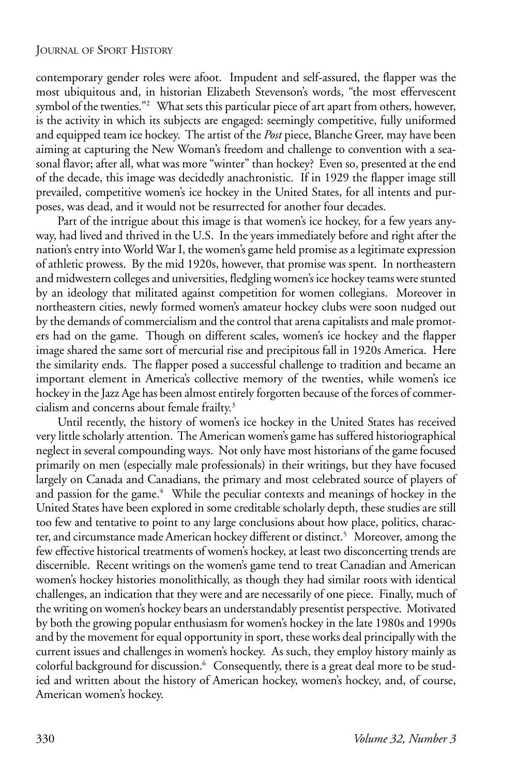contemporary gender roles were afoot. Impudent and self-assured, the flapper was the most ubiquitous and, in historian Elizabeth Stevenson's words, "the most effervescent symbol of the twenties."<sup>2</sup> What sets this particular piece of art apart from others, however, is the activity in which its subjects are engaged: seemingly competitive, fully uniformed and equipped team ice hockey. The artist of the *Post* piece, Blanche Greer, may have been aiming at capturing the New Woman's freedom and challenge to convention with a seasonal flavor; after all, what was more "winter" than hockey? Even so, presented at the end of the decade, this image was decidedly anachronistic. If in 1929 the flapper image still prevailed, competitive women's ice hockey in the United States, for all intents and purposes, was dead, and it would not be resurrected for another four decades.

Part of the intrigue about this image is that women's ice hockey, for a few years anyway, had lived and thrived in the U.S. In the years immediately before and right after the nation's entry into World War I, the women's game held promise as a legitimate expression of athletic prowess. By the mid 1920s, however, that promise was spent. In northeastern and midwestern colleges and universities, fledgling women's ice hockey teams were stunted by an ideology that militated against competition for women collegians. Moreover in northeastern cities, newly formed women's amateur hockey clubs were soon nudged out by the demands of commercialism and the control that arena capitalists and male promoters had on the game. Though on different scales, women's ice hockey and the flapper image shared the same sort of mercurial rise and precipitous fall in 1920s America. Here the similarity ends. The flapper posed a successful challenge to tradition and became an important element in America's collective memory of the twenties, while women's ice hockey in the Jazz Age has been almost entirely forgotten because of the forces of commercialism and concerns about female frailty.3

Until recently, the history of women's ice hockey in the United States has received very little scholarly attention. The American women's game has suffered historiographical neglect in several compounding ways. Not only have most historians of the game focused primarily on men (especially male professionals) in their writings, but they have focused largely on Canada and Canadians, the primary and most celebrated source of players of and passion for the game.<sup>4</sup> While the peculiar contexts and meanings of hockey in the United States have been explored in some creditable scholarly depth, these studies are still too few and tentative to point to any large conclusions about how place, politics, character, and circumstance made American hockey different or distinct.<sup>5</sup> Moreover, among the few effective historical treatments of women's hockey, at least two disconcerting trends are discernible. Recent writings on the women's game tend to treat Canadian and American women's hockey histories monolithically, as though they had similar roots with identical challenges, an indication that they were and are necessarily of one piece. Finally, much of the writing on women's hockey bears an understandably presentist perspective. Motivated by both the growing popular enthusiasm for women's hockey in the late 1980s and 1990s and by the movement for equal opportunity in sport, these works deal principally with the current issues and challenges in women's hockey. As such, they employ history mainly as colorful background for discussion.<sup>6</sup> Consequently, there is a great deal more to be studied and written about the history of American hockey, women's hockey, and, of course, American women's hockey.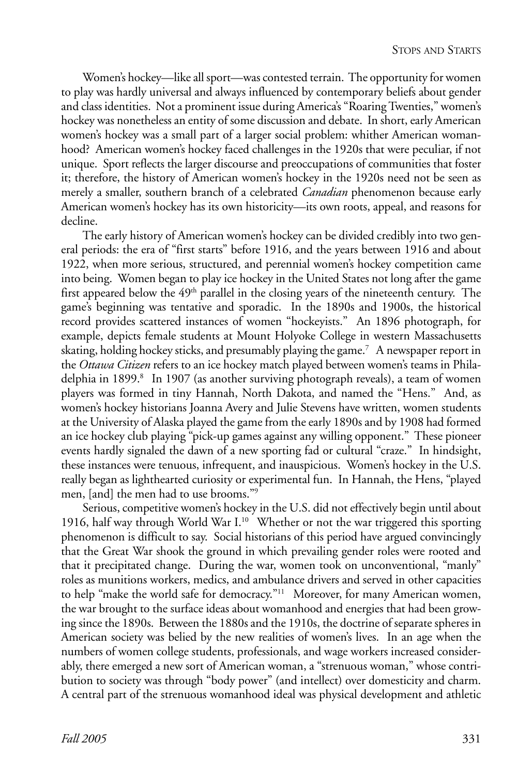Women's hockey—like all sport—was contested terrain. The opportunity for women to play was hardly universal and always influenced by contemporary beliefs about gender and class identities. Not a prominent issue during America's "Roaring Twenties," women's hockey was nonetheless an entity of some discussion and debate. In short, early American women's hockey was a small part of a larger social problem: whither American womanhood? American women's hockey faced challenges in the 1920s that were peculiar, if not unique. Sport reflects the larger discourse and preoccupations of communities that foster it; therefore, the history of American women's hockey in the 1920s need not be seen as merely a smaller, southern branch of a celebrated *Canadian* phenomenon because early American women's hockey has its own historicity—its own roots, appeal, and reasons for decline.

The early history of American women's hockey can be divided credibly into two general periods: the era of "first starts" before 1916, and the years between 1916 and about 1922, when more serious, structured, and perennial women's hockey competition came into being. Women began to play ice hockey in the United States not long after the game first appeared below the 49<sup>th</sup> parallel in the closing years of the nineteenth century. The game's beginning was tentative and sporadic. In the 1890s and 1900s, the historical record provides scattered instances of women "hockeyists." An 1896 photograph, for example, depicts female students at Mount Holyoke College in western Massachusetts skating, holding hockey sticks, and presumably playing the game.7 A newspaper report in the *Ottawa Citizen* refers to an ice hockey match played between women's teams in Philadelphia in 1899.<sup>8</sup> In 1907 (as another surviving photograph reveals), a team of women players was formed in tiny Hannah, North Dakota, and named the "Hens." And, as women's hockey historians Joanna Avery and Julie Stevens have written, women students at the University of Alaska played the game from the early 1890s and by 1908 had formed an ice hockey club playing "pick-up games against any willing opponent." These pioneer events hardly signaled the dawn of a new sporting fad or cultural "craze." In hindsight, these instances were tenuous, infrequent, and inauspicious. Women's hockey in the U.S. really began as lighthearted curiosity or experimental fun. In Hannah, the Hens, "played men, [and] the men had to use brooms."9

Serious, competitive women's hockey in the U.S. did not effectively begin until about 1916, half way through World War I.10 Whether or not the war triggered this sporting phenomenon is difficult to say. Social historians of this period have argued convincingly that the Great War shook the ground in which prevailing gender roles were rooted and that it precipitated change. During the war, women took on unconventional, "manly" roles as munitions workers, medics, and ambulance drivers and served in other capacities to help "make the world safe for democracy."11 Moreover, for many American women, the war brought to the surface ideas about womanhood and energies that had been growing since the 1890s. Between the 1880s and the 1910s, the doctrine of separate spheres in American society was belied by the new realities of women's lives. In an age when the numbers of women college students, professionals, and wage workers increased considerably, there emerged a new sort of American woman, a "strenuous woman," whose contribution to society was through "body power" (and intellect) over domesticity and charm. A central part of the strenuous womanhood ideal was physical development and athletic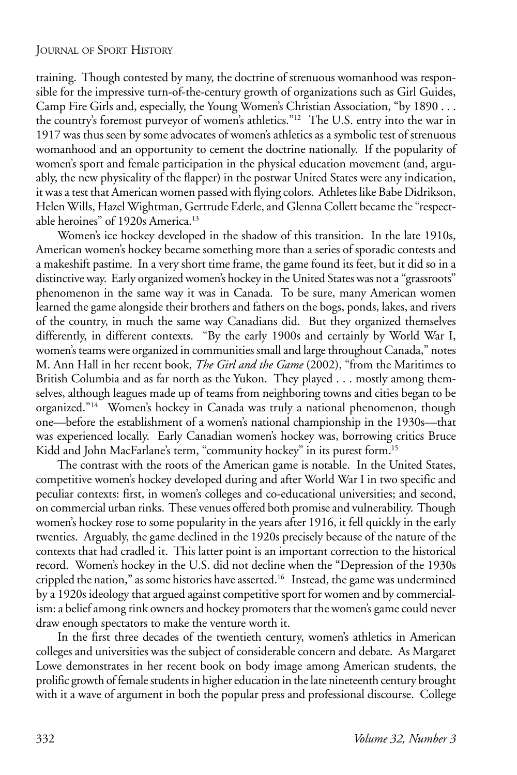training. Though contested by many, the doctrine of strenuous womanhood was responsible for the impressive turn-of-the-century growth of organizations such as Girl Guides, Camp Fire Girls and, especially, the Young Women's Christian Association, "by 1890 . . . the country's foremost purveyor of women's athletics."<sup>12</sup> The U.S. entry into the war in 1917 was thus seen by some advocates of women's athletics as a symbolic test of strenuous womanhood and an opportunity to cement the doctrine nationally. If the popularity of women's sport and female participation in the physical education movement (and, arguably, the new physicality of the flapper) in the postwar United States were any indication, it was a test that American women passed with flying colors. Athletes like Babe Didrikson, Helen Wills, Hazel Wightman, Gertrude Ederle, and Glenna Collett became the "respectable heroines" of 1920s America.<sup>13</sup>

Women's ice hockey developed in the shadow of this transition. In the late 1910s, American women's hockey became something more than a series of sporadic contests and a makeshift pastime. In a very short time frame, the game found its feet, but it did so in a distinctive way. Early organized women's hockey in the United States was not a "grassroots" phenomenon in the same way it was in Canada. To be sure, many American women learned the game alongside their brothers and fathers on the bogs, ponds, lakes, and rivers of the country, in much the same way Canadians did. But they organized themselves differently, in different contexts. "By the early 1900s and certainly by World War I, women's teams were organized in communities small and large throughout Canada," notes M. Ann Hall in her recent book, *The Girl and the Game* (2002), "from the Maritimes to British Columbia and as far north as the Yukon. They played . . . mostly among themselves, although leagues made up of teams from neighboring towns and cities began to be organized."14 Women's hockey in Canada was truly a national phenomenon, though one—before the establishment of a women's national championship in the 1930s—that was experienced locally. Early Canadian women's hockey was, borrowing critics Bruce Kidd and John MacFarlane's term, "community hockey" in its purest form.15

The contrast with the roots of the American game is notable. In the United States, competitive women's hockey developed during and after World War I in two specific and peculiar contexts: first, in women's colleges and co-educational universities; and second, on commercial urban rinks. These venues offered both promise and vulnerability. Though women's hockey rose to some popularity in the years after 1916, it fell quickly in the early twenties. Arguably, the game declined in the 1920s precisely because of the nature of the contexts that had cradled it. This latter point is an important correction to the historical record. Women's hockey in the U.S. did not decline when the "Depression of the 1930s crippled the nation," as some histories have asserted.16 Instead, the game was undermined by a 1920s ideology that argued against competitive sport for women and by commercialism: a belief among rink owners and hockey promoters that the women's game could never draw enough spectators to make the venture worth it.

In the first three decades of the twentieth century, women's athletics in American colleges and universities was the subject of considerable concern and debate. As Margaret Lowe demonstrates in her recent book on body image among American students, the prolific growth of female students in higher education in the late nineteenth century brought with it a wave of argument in both the popular press and professional discourse. College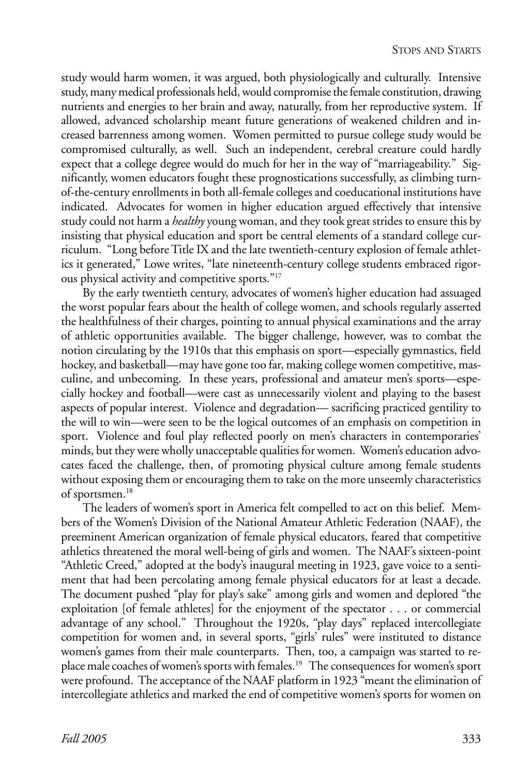study would harm women, it was argued, both physiologically and culturally. Intensive study, many medical professionals held, would compromise the female constitution, drawing nutrients and energies to her brain and away, naturally, from her reproductive system. If allowed, advanced scholarship meant future generations of weakened children and increased barrenness among women. Women permitted to pursue college study would be compromised culturally, as well. Such an independent, cerebral creature could hardly expect that a college degree would do much for her in the way of "marriageability." Significantly, women educators fought these prognostications successfully, as climbing turnof-the-century enrollments in both all-female colleges and coeducational institutions have indicated. Advocates for women in higher education argued effectively that intensive study could not harm a *healthy* young woman, and they took great strides to ensure this by insisting that physical education and sport be central elements of a standard college curriculum. "Long before Title IX and the late twentieth-century explosion of female athletics it generated," Lowe writes, "late nineteenth-century college students embraced rigorous physical activity and competitive sports."17

By the early twentieth century, advocates of women's higher education had assuaged the worst popular fears about the health of college women, and schools regularly asserted the healthfulness of their charges, pointing to annual physical examinations and the array of athletic opportunities available. The bigger challenge, however, was to combat the notion circulating by the 1910s that this emphasis on sport—especially gymnastics, field hockey, and basketball—may have gone too far, making college women competitive, masculine, and unbecoming. In these years, professional and amateur men's sports—especially hockey and football—were cast as unnecessarily violent and playing to the basest aspects of popular interest. Violence and degradation— sacrificing practiced gentility to the will to win—were seen to be the logical outcomes of an emphasis on competition in sport. Violence and foul play reflected poorly on men's characters in contemporaries' minds, but they were wholly unacceptable qualities for women. Women's education advocates faced the challenge, then, of promoting physical culture among female students without exposing them or encouraging them to take on the more unseemly characteristics of sportsmen.<sup>18</sup>

The leaders of women's sport in America felt compelled to act on this belief. Members of the Women's Division of the National Amateur Athletic Federation (NAAF), the preeminent American organization of female physical educators, feared that competitive athletics threatened the moral well-being of girls and women. The NAAF's sixteen-point "Athletic Creed," adopted at the body's inaugural meeting in 1923, gave voice to a sentiment that had been percolating among female physical educators for at least a decade. The document pushed "play for play's sake" among girls and women and deplored "the exploitation [of female athletes] for the enjoyment of the spectator . . . or commercial advantage of any school." Throughout the 1920s, "play days" replaced intercollegiate competition for women and, in several sports, "girls' rules" were instituted to distance women's games from their male counterparts. Then, too, a campaign was started to replace male coaches of women's sports with females.19 The consequences for women's sport were profound. The acceptance of the NAAF platform in 1923 "meant the elimination of intercollegiate athletics and marked the end of competitive women's sports for women on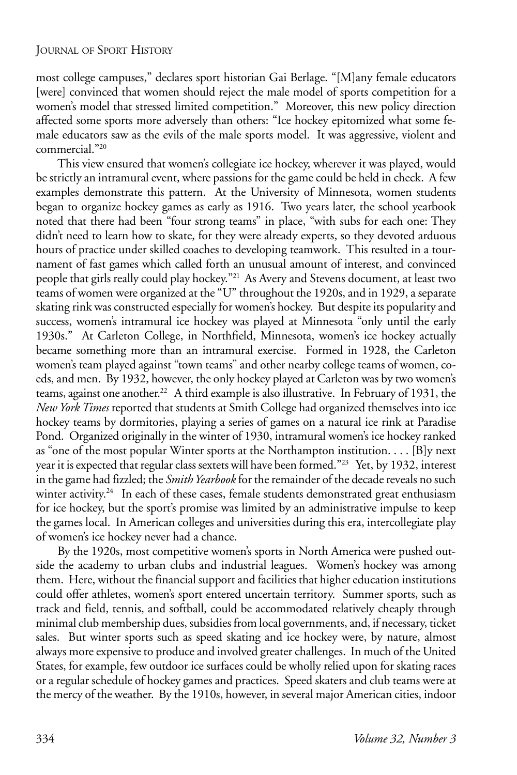most college campuses," declares sport historian Gai Berlage. "[M]any female educators [were] convinced that women should reject the male model of sports competition for a women's model that stressed limited competition." Moreover, this new policy direction affected some sports more adversely than others: "Ice hockey epitomized what some female educators saw as the evils of the male sports model. It was aggressive, violent and commercial."20

This view ensured that women's collegiate ice hockey, wherever it was played, would be strictly an intramural event, where passions for the game could be held in check. A few examples demonstrate this pattern. At the University of Minnesota, women students began to organize hockey games as early as 1916. Two years later, the school yearbook noted that there had been "four strong teams" in place, "with subs for each one: They didn't need to learn how to skate, for they were already experts, so they devoted arduous hours of practice under skilled coaches to developing teamwork. This resulted in a tournament of fast games which called forth an unusual amount of interest, and convinced people that girls really could play hockey."21 As Avery and Stevens document, at least two teams of women were organized at the "U" throughout the 1920s, and in 1929, a separate skating rink was constructed especially for women's hockey. But despite its popularity and success, women's intramural ice hockey was played at Minnesota "only until the early 1930s." At Carleton College, in Northfield, Minnesota, women's ice hockey actually became something more than an intramural exercise. Formed in 1928, the Carleton women's team played against "town teams" and other nearby college teams of women, coeds, and men. By 1932, however, the only hockey played at Carleton was by two women's teams, against one another.<sup>22</sup> A third example is also illustrative. In February of 1931, the *New York Times* reported that students at Smith College had organized themselves into ice hockey teams by dormitories, playing a series of games on a natural ice rink at Paradise Pond. Organized originally in the winter of 1930, intramural women's ice hockey ranked as "one of the most popular Winter sports at the Northampton institution. . . . [B]y next year it is expected that regular class sextets will have been formed."23 Yet, by 1932, interest in the game had fizzled; the *Smith Yearbook* for the remainder of the decade reveals no such winter activity.<sup>24</sup> In each of these cases, female students demonstrated great enthusiasm for ice hockey, but the sport's promise was limited by an administrative impulse to keep the games local. In American colleges and universities during this era, intercollegiate play of women's ice hockey never had a chance.

By the 1920s, most competitive women's sports in North America were pushed outside the academy to urban clubs and industrial leagues. Women's hockey was among them. Here, without the financial support and facilities that higher education institutions could offer athletes, women's sport entered uncertain territory. Summer sports, such as track and field, tennis, and softball, could be accommodated relatively cheaply through minimal club membership dues, subsidies from local governments, and, if necessary, ticket sales. But winter sports such as speed skating and ice hockey were, by nature, almost always more expensive to produce and involved greater challenges. In much of the United States, for example, few outdoor ice surfaces could be wholly relied upon for skating races or a regular schedule of hockey games and practices. Speed skaters and club teams were at the mercy of the weather. By the 1910s, however, in several major American cities, indoor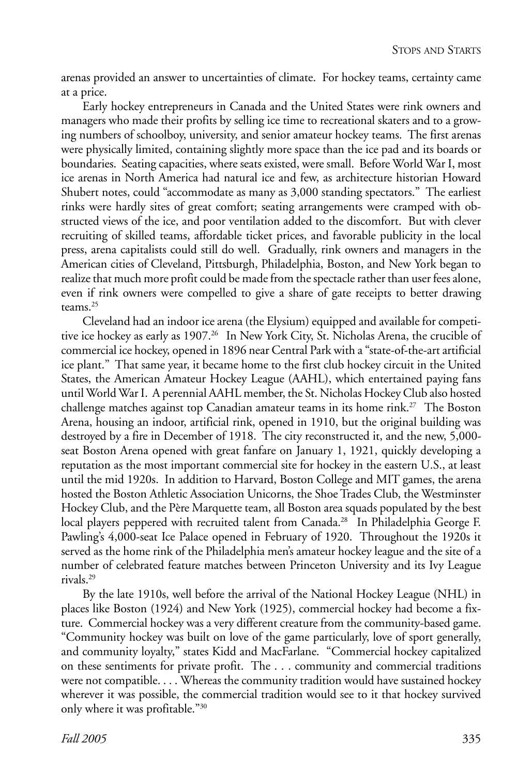arenas provided an answer to uncertainties of climate. For hockey teams, certainty came at a price.

Early hockey entrepreneurs in Canada and the United States were rink owners and managers who made their profits by selling ice time to recreational skaters and to a growing numbers of schoolboy, university, and senior amateur hockey teams. The first arenas were physically limited, containing slightly more space than the ice pad and its boards or boundaries. Seating capacities, where seats existed, were small. Before World War I, most ice arenas in North America had natural ice and few, as architecture historian Howard Shubert notes, could "accommodate as many as 3,000 standing spectators." The earliest rinks were hardly sites of great comfort; seating arrangements were cramped with obstructed views of the ice, and poor ventilation added to the discomfort. But with clever recruiting of skilled teams, affordable ticket prices, and favorable publicity in the local press, arena capitalists could still do well. Gradually, rink owners and managers in the American cities of Cleveland, Pittsburgh, Philadelphia, Boston, and New York began to realize that much more profit could be made from the spectacle rather than user fees alone, even if rink owners were compelled to give a share of gate receipts to better drawing teams.25

Cleveland had an indoor ice arena (the Elysium) equipped and available for competitive ice hockey as early as 1907.<sup>26</sup> In New York City, St. Nicholas Arena, the crucible of commercial ice hockey, opened in 1896 near Central Park with a "state-of-the-art artificial ice plant." That same year, it became home to the first club hockey circuit in the United States, the American Amateur Hockey League (AAHL), which entertained paying fans until World War I. A perennial AAHL member, the St. Nicholas Hockey Club also hosted challenge matches against top Canadian amateur teams in its home rink.27 The Boston Arena, housing an indoor, artificial rink, opened in 1910, but the original building was destroyed by a fire in December of 1918. The city reconstructed it, and the new, 5,000 seat Boston Arena opened with great fanfare on January 1, 1921, quickly developing a reputation as the most important commercial site for hockey in the eastern U.S., at least until the mid 1920s. In addition to Harvard, Boston College and MIT games, the arena hosted the Boston Athletic Association Unicorns, the Shoe Trades Club, the Westminster Hockey Club, and the Père Marquette team, all Boston area squads populated by the best local players peppered with recruited talent from Canada.<sup>28</sup> In Philadelphia George F. Pawling's 4,000-seat Ice Palace opened in February of 1920. Throughout the 1920s it served as the home rink of the Philadelphia men's amateur hockey league and the site of a number of celebrated feature matches between Princeton University and its Ivy League rivals.29

By the late 1910s, well before the arrival of the National Hockey League (NHL) in places like Boston (1924) and New York (1925), commercial hockey had become a fixture. Commercial hockey was a very different creature from the community-based game. "Community hockey was built on love of the game particularly, love of sport generally, and community loyalty," states Kidd and MacFarlane. "Commercial hockey capitalized on these sentiments for private profit. The . . . community and commercial traditions were not compatible. . . . Whereas the community tradition would have sustained hockey wherever it was possible, the commercial tradition would see to it that hockey survived only where it was profitable."30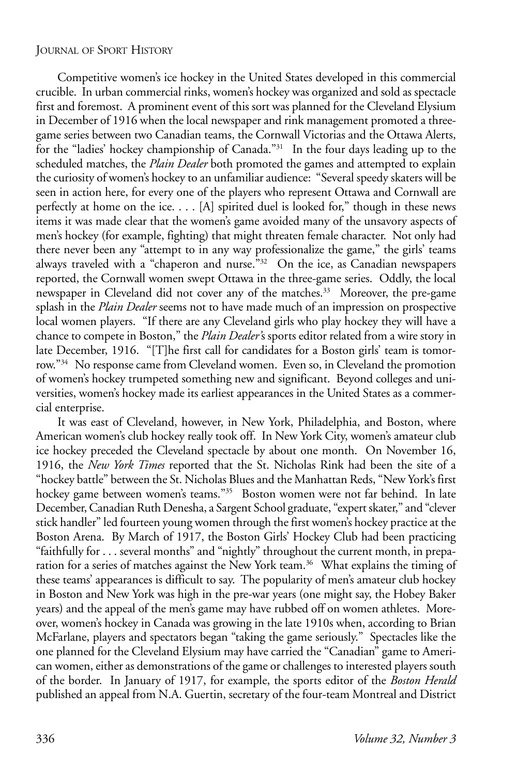Competitive women's ice hockey in the United States developed in this commercial crucible. In urban commercial rinks, women's hockey was organized and sold as spectacle first and foremost. A prominent event of this sort was planned for the Cleveland Elysium in December of 1916 when the local newspaper and rink management promoted a threegame series between two Canadian teams, the Cornwall Victorias and the Ottawa Alerts, for the "ladies' hockey championship of Canada."31 In the four days leading up to the scheduled matches, the *Plain Dealer* both promoted the games and attempted to explain the curiosity of women's hockey to an unfamiliar audience: "Several speedy skaters will be seen in action here, for every one of the players who represent Ottawa and Cornwall are perfectly at home on the ice. . . . [A] spirited duel is looked for," though in these news items it was made clear that the women's game avoided many of the unsavory aspects of men's hockey (for example, fighting) that might threaten female character. Not only had there never been any "attempt to in any way professionalize the game," the girls' teams always traveled with a "chaperon and nurse."32 On the ice, as Canadian newspapers reported, the Cornwall women swept Ottawa in the three-game series. Oddly, the local newspaper in Cleveland did not cover any of the matches.<sup>33</sup> Moreover, the pre-game splash in the *Plain Dealer* seems not to have made much of an impression on prospective local women players. "If there are any Cleveland girls who play hockey they will have a chance to compete in Boston," the *Plain Dealer'*s sports editor related from a wire story in late December, 1916. "[T]he first call for candidates for a Boston girls' team is tomorrow."<sup>34</sup> No response came from Cleveland women. Even so, in Cleveland the promotion of women's hockey trumpeted something new and significant. Beyond colleges and universities, women's hockey made its earliest appearances in the United States as a commercial enterprise.

It was east of Cleveland, however, in New York, Philadelphia, and Boston, where American women's club hockey really took off. In New York City, women's amateur club ice hockey preceded the Cleveland spectacle by about one month. On November 16, 1916, the *New York Times* reported that the St. Nicholas Rink had been the site of a "hockey battle" between the St. Nicholas Blues and the Manhattan Reds, "New York's first hockey game between women's teams."<sup>35</sup> Boston women were not far behind. In late December, Canadian Ruth Denesha, a Sargent School graduate, "expert skater," and "clever stick handler" led fourteen young women through the first women's hockey practice at the Boston Arena. By March of 1917, the Boston Girls' Hockey Club had been practicing "faithfully for . . . several months" and "nightly" throughout the current month, in preparation for a series of matches against the New York team.<sup>36</sup> What explains the timing of these teams' appearances is difficult to say. The popularity of men's amateur club hockey in Boston and New York was high in the pre-war years (one might say, the Hobey Baker years) and the appeal of the men's game may have rubbed off on women athletes. Moreover, women's hockey in Canada was growing in the late 1910s when, according to Brian McFarlane, players and spectators began "taking the game seriously." Spectacles like the one planned for the Cleveland Elysium may have carried the "Canadian" game to American women, either as demonstrations of the game or challenges to interested players south of the border. In January of 1917, for example, the sports editor of the *Boston Herald* published an appeal from N.A. Guertin, secretary of the four-team Montreal and District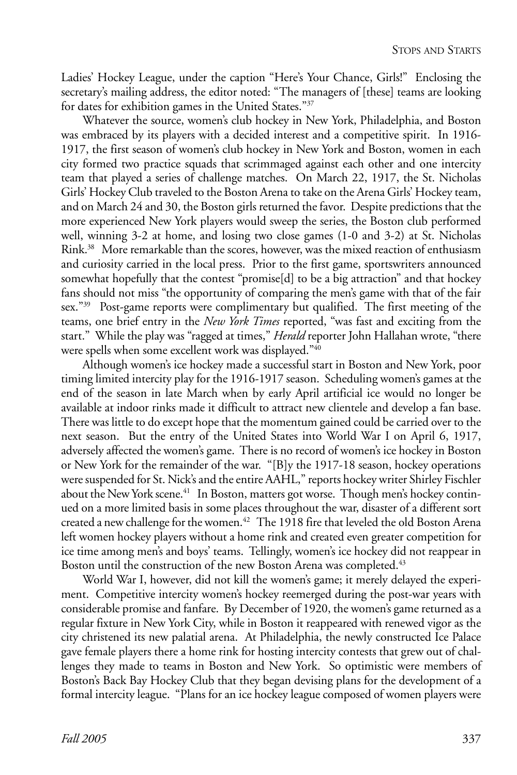Ladies' Hockey League, under the caption "Here's Your Chance, Girls!" Enclosing the secretary's mailing address, the editor noted: "The managers of [these] teams are looking for dates for exhibition games in the United States."37

Whatever the source, women's club hockey in New York, Philadelphia, and Boston was embraced by its players with a decided interest and a competitive spirit. In 1916-1917, the first season of women's club hockey in New York and Boston, women in each city formed two practice squads that scrimmaged against each other and one intercity team that played a series of challenge matches. On March 22, 1917, the St. Nicholas Girls' Hockey Club traveled to the Boston Arena to take on the Arena Girls' Hockey team, and on March 24 and 30, the Boston girls returned the favor. Despite predictions that the more experienced New York players would sweep the series, the Boston club performed well, winning 3-2 at home, and losing two close games (1-0 and 3-2) at St. Nicholas Rink.38 More remarkable than the scores, however, was the mixed reaction of enthusiasm and curiosity carried in the local press. Prior to the first game, sportswriters announced somewhat hopefully that the contest "promise[d] to be a big attraction" and that hockey fans should not miss "the opportunity of comparing the men's game with that of the fair sex."39 Post-game reports were complimentary but qualified. The first meeting of the teams, one brief entry in the *New York Times* reported, "was fast and exciting from the start." While the play was "ragged at times," *Herald* reporter John Hallahan wrote, "there were spells when some excellent work was displayed."40

Although women's ice hockey made a successful start in Boston and New York, poor timing limited intercity play for the 1916-1917 season. Scheduling women's games at the end of the season in late March when by early April artificial ice would no longer be available at indoor rinks made it difficult to attract new clientele and develop a fan base. There was little to do except hope that the momentum gained could be carried over to the next season. But the entry of the United States into World War I on April 6, 1917, adversely affected the women's game. There is no record of women's ice hockey in Boston or New York for the remainder of the war. "[B]y the 1917-18 season, hockey operations were suspended for St. Nick's and the entire AAHL," reports hockey writer Shirley Fischler about the New York scene.<sup>41</sup> In Boston, matters got worse. Though men's hockey continued on a more limited basis in some places throughout the war, disaster of a different sort created a new challenge for the women.<sup>42</sup> The 1918 fire that leveled the old Boston Arena left women hockey players without a home rink and created even greater competition for ice time among men's and boys' teams. Tellingly, women's ice hockey did not reappear in Boston until the construction of the new Boston Arena was completed.<sup>43</sup>

World War I, however, did not kill the women's game; it merely delayed the experiment. Competitive intercity women's hockey reemerged during the post-war years with considerable promise and fanfare. By December of 1920, the women's game returned as a regular fixture in New York City, while in Boston it reappeared with renewed vigor as the city christened its new palatial arena. At Philadelphia, the newly constructed Ice Palace gave female players there a home rink for hosting intercity contests that grew out of challenges they made to teams in Boston and New York. So optimistic were members of Boston's Back Bay Hockey Club that they began devising plans for the development of a formal intercity league. "Plans for an ice hockey league composed of women players were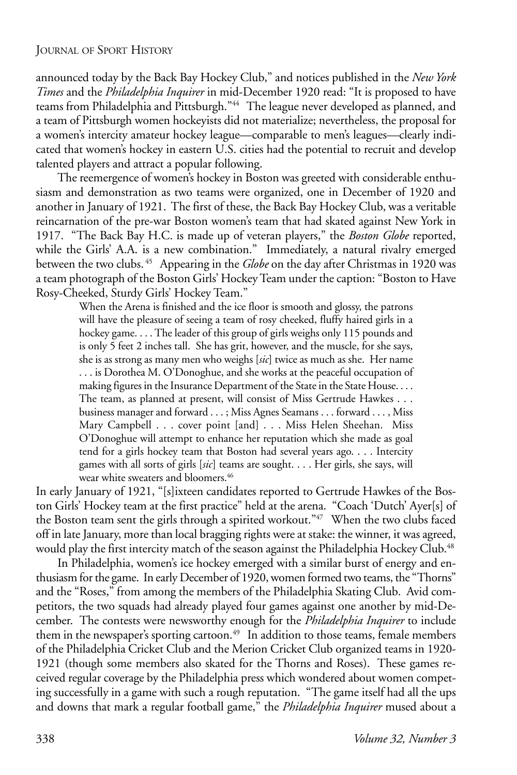announced today by the Back Bay Hockey Club," and notices published in the *New York Times* and the *Philadelphia Inquirer* in mid-December 1920 read: "It is proposed to have teams from Philadelphia and Pittsburgh."44 The league never developed as planned, and a team of Pittsburgh women hockeyists did not materialize; nevertheless, the proposal for a women's intercity amateur hockey league—comparable to men's leagues—clearly indicated that women's hockey in eastern U.S. cities had the potential to recruit and develop talented players and attract a popular following.

The reemergence of women's hockey in Boston was greeted with considerable enthusiasm and demonstration as two teams were organized, one in December of 1920 and another in January of 1921. The first of these, the Back Bay Hockey Club, was a veritable reincarnation of the pre-war Boston women's team that had skated against New York in 1917. "The Back Bay H.C. is made up of veteran players," the *Boston Globe* reported, while the Girls' A.A. is a new combination." Immediately, a natural rivalry emerged between the two clubs. 45 Appearing in the *Globe* on the day after Christmas in 1920 was a team photograph of the Boston Girls' Hockey Team under the caption: "Boston to Have Rosy-Cheeked, Sturdy Girls' Hockey Team."

> When the Arena is finished and the ice floor is smooth and glossy, the patrons will have the pleasure of seeing a team of rosy cheeked, fluffy haired girls in a hockey game. . . . The leader of this group of girls weighs only 115 pounds and is only 5 feet 2 inches tall. She has grit, however, and the muscle, for she says, she is as strong as many men who weighs [*sic*] twice as much as she. Her name . . . is Dorothea M. O'Donoghue, and she works at the peaceful occupation of making figures in the Insurance Department of the State in the State House. . . . The team, as planned at present, will consist of Miss Gertrude Hawkes . . . business manager and forward . . . ; Miss Agnes Seamans . . . forward . . . , Miss Mary Campbell . . . cover point [and] . . . Miss Helen Sheehan. Miss O'Donoghue will attempt to enhance her reputation which she made as goal tend for a girls hockey team that Boston had several years ago. . . . Intercity games with all sorts of girls [*sic*] teams are sought. . . . Her girls, she says, will wear white sweaters and bloomers.<sup>46</sup>

In early January of 1921, "[s]ixteen candidates reported to Gertrude Hawkes of the Boston Girls' Hockey team at the first practice" held at the arena. "Coach 'Dutch' Ayer[s] of the Boston team sent the girls through a spirited workout."47 When the two clubs faced off in late January, more than local bragging rights were at stake: the winner, it was agreed, would play the first intercity match of the season against the Philadelphia Hockey Club.<sup>48</sup>

In Philadelphia, women's ice hockey emerged with a similar burst of energy and enthusiasm for the game. In early December of 1920, women formed two teams, the "Thorns" and the "Roses," from among the members of the Philadelphia Skating Club. Avid competitors, the two squads had already played four games against one another by mid-December. The contests were newsworthy enough for the *Philadelphia Inquirer* to include them in the newspaper's sporting cartoon.<sup>49</sup> In addition to those teams, female members of the Philadelphia Cricket Club and the Merion Cricket Club organized teams in 1920- 1921 (though some members also skated for the Thorns and Roses). These games received regular coverage by the Philadelphia press which wondered about women competing successfully in a game with such a rough reputation. "The game itself had all the ups and downs that mark a regular football game," the *Philadelphia Inquirer* mused about a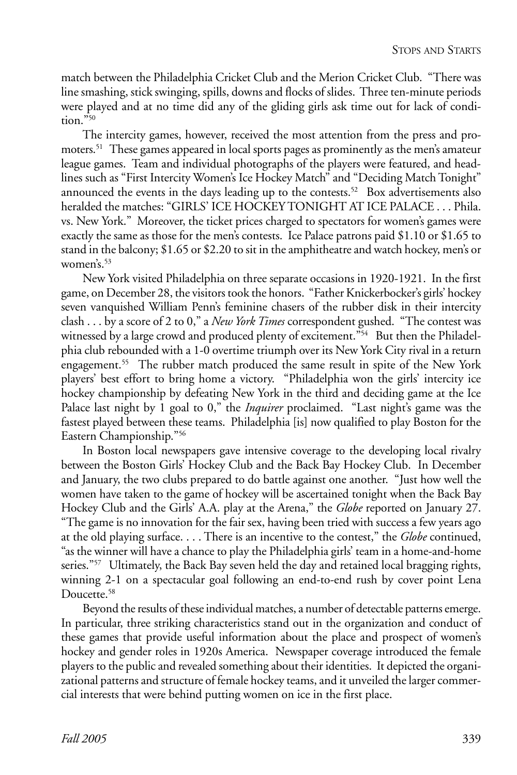match between the Philadelphia Cricket Club and the Merion Cricket Club. "There was line smashing, stick swinging, spills, downs and flocks of slides. Three ten-minute periods were played and at no time did any of the gliding girls ask time out for lack of condition."50

The intercity games, however, received the most attention from the press and promoters.<sup>51</sup> These games appeared in local sports pages as prominently as the men's amateur league games. Team and individual photographs of the players were featured, and headlines such as "First Intercity Women's Ice Hockey Match" and "Deciding Match Tonight" announced the events in the days leading up to the contests.<sup>52</sup> Box advertisements also heralded the matches: "GIRLS' ICE HOCKEY TONIGHT AT ICE PALACE . . . Phila. vs. New York." Moreover, the ticket prices charged to spectators for women's games were exactly the same as those for the men's contests. Ice Palace patrons paid \$1.10 or \$1.65 to stand in the balcony; \$1.65 or \$2.20 to sit in the amphitheatre and watch hockey, men's or women's.<sup>53</sup>

New York visited Philadelphia on three separate occasions in 1920-1921. In the first game, on December 28, the visitors took the honors. "Father Knickerbocker's girls' hockey seven vanquished William Penn's feminine chasers of the rubber disk in their intercity clash . . . by a score of 2 to 0," a *New York Times* correspondent gushed. "The contest was witnessed by a large crowd and produced plenty of excitement."<sup>54</sup> But then the Philadelphia club rebounded with a 1-0 overtime triumph over its New York City rival in a return engagement.55 The rubber match produced the same result in spite of the New York players' best effort to bring home a victory. "Philadelphia won the girls' intercity ice hockey championship by defeating New York in the third and deciding game at the Ice Palace last night by 1 goal to 0," the *Inquirer* proclaimed. "Last night's game was the fastest played between these teams. Philadelphia [is] now qualified to play Boston for the Eastern Championship."56

In Boston local newspapers gave intensive coverage to the developing local rivalry between the Boston Girls' Hockey Club and the Back Bay Hockey Club. In December and January, the two clubs prepared to do battle against one another. "Just how well the women have taken to the game of hockey will be ascertained tonight when the Back Bay Hockey Club and the Girls' A.A. play at the Arena," the *Globe* reported on January 27. "The game is no innovation for the fair sex, having been tried with success a few years ago at the old playing surface. . . . There is an incentive to the contest," the *Globe* continued, "as the winner will have a chance to play the Philadelphia girls' team in a home-and-home series."<sup>57</sup> Ultimately, the Back Bay seven held the day and retained local bragging rights, winning 2-1 on a spectacular goal following an end-to-end rush by cover point Lena Doucette.<sup>58</sup>

Beyond the results of these individual matches, a number of detectable patterns emerge. In particular, three striking characteristics stand out in the organization and conduct of these games that provide useful information about the place and prospect of women's hockey and gender roles in 1920s America. Newspaper coverage introduced the female players to the public and revealed something about their identities. It depicted the organizational patterns and structure of female hockey teams, and it unveiled the larger commercial interests that were behind putting women on ice in the first place.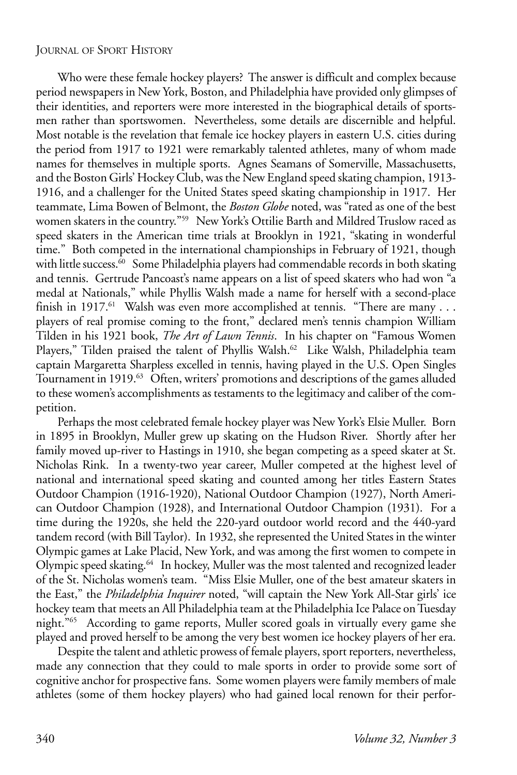Who were these female hockey players? The answer is difficult and complex because period newspapers in New York, Boston, and Philadelphia have provided only glimpses of their identities, and reporters were more interested in the biographical details of sportsmen rather than sportswomen. Nevertheless, some details are discernible and helpful. Most notable is the revelation that female ice hockey players in eastern U.S. cities during the period from 1917 to 1921 were remarkably talented athletes, many of whom made names for themselves in multiple sports. Agnes Seamans of Somerville, Massachusetts, and the Boston Girls' Hockey Club, was the New England speed skating champion, 1913- 1916, and a challenger for the United States speed skating championship in 1917. Her teammate, Lima Bowen of Belmont, the *Boston Globe* noted, was "rated as one of the best women skaters in the country."<sup>59</sup> New York's Ottilie Barth and Mildred Truslow raced as speed skaters in the American time trials at Brooklyn in 1921, "skating in wonderful time." Both competed in the international championships in February of 1921, though with little success.<sup>60</sup> Some Philadelphia players had commendable records in both skating and tennis. Gertrude Pancoast's name appears on a list of speed skaters who had won "a medal at Nationals," while Phyllis Walsh made a name for herself with a second-place finish in 1917.<sup>61</sup> Walsh was even more accomplished at tennis. "There are many . . . players of real promise coming to the front," declared men's tennis champion William Tilden in his 1921 book, *The Art of Lawn Tennis*. In his chapter on "Famous Women Players," Tilden praised the talent of Phyllis Walsh.<sup>62</sup> Like Walsh, Philadelphia team captain Margaretta Sharpless excelled in tennis, having played in the U.S. Open Singles Tournament in 1919.<sup>63</sup> Often, writers' promotions and descriptions of the games alluded to these women's accomplishments as testaments to the legitimacy and caliber of the competition.

Perhaps the most celebrated female hockey player was New York's Elsie Muller. Born in 1895 in Brooklyn, Muller grew up skating on the Hudson River. Shortly after her family moved up-river to Hastings in 1910, she began competing as a speed skater at St. Nicholas Rink. In a twenty-two year career, Muller competed at the highest level of national and international speed skating and counted among her titles Eastern States Outdoor Champion (1916-1920), National Outdoor Champion (1927), North American Outdoor Champion (1928), and International Outdoor Champion (1931). For a time during the 1920s, she held the 220-yard outdoor world record and the 440-yard tandem record (with Bill Taylor). In 1932, she represented the United States in the winter Olympic games at Lake Placid, New York, and was among the first women to compete in Olympic speed skating.<sup>64</sup> In hockey, Muller was the most talented and recognized leader of the St. Nicholas women's team. "Miss Elsie Muller, one of the best amateur skaters in the East," the *Philadelphia Inquirer* noted, "will captain the New York All-Star girls' ice hockey team that meets an All Philadelphia team at the Philadelphia Ice Palace on Tuesday night."65 According to game reports, Muller scored goals in virtually every game she played and proved herself to be among the very best women ice hockey players of her era.

Despite the talent and athletic prowess of female players, sport reporters, nevertheless, made any connection that they could to male sports in order to provide some sort of cognitive anchor for prospective fans. Some women players were family members of male athletes (some of them hockey players) who had gained local renown for their perfor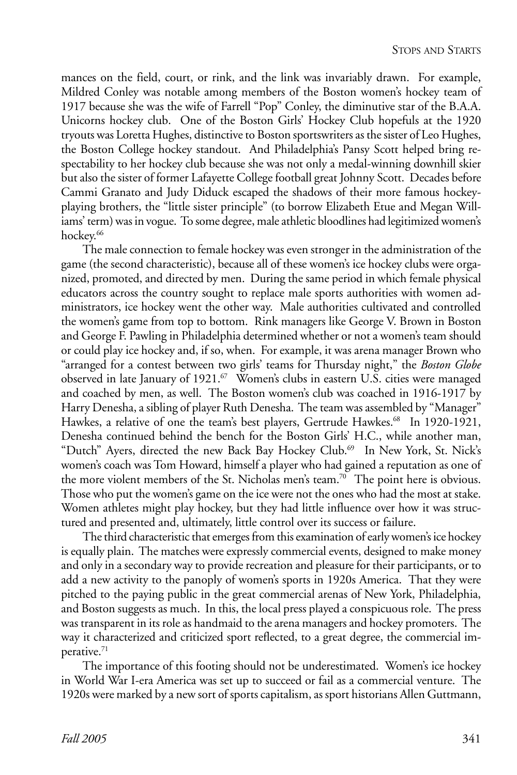mances on the field, court, or rink, and the link was invariably drawn. For example, Mildred Conley was notable among members of the Boston women's hockey team of 1917 because she was the wife of Farrell "Pop" Conley, the diminutive star of the B.A.A. Unicorns hockey club. One of the Boston Girls' Hockey Club hopefuls at the 1920 tryouts was Loretta Hughes, distinctive to Boston sportswriters as the sister of Leo Hughes, the Boston College hockey standout. And Philadelphia's Pansy Scott helped bring respectability to her hockey club because she was not only a medal-winning downhill skier but also the sister of former Lafayette College football great Johnny Scott. Decades before Cammi Granato and Judy Diduck escaped the shadows of their more famous hockeyplaying brothers, the "little sister principle" (to borrow Elizabeth Etue and Megan Williams' term) was in vogue. To some degree, male athletic bloodlines had legitimized women's hockey.<sup>66</sup>

The male connection to female hockey was even stronger in the administration of the game (the second characteristic), because all of these women's ice hockey clubs were organized, promoted, and directed by men. During the same period in which female physical educators across the country sought to replace male sports authorities with women administrators, ice hockey went the other way. Male authorities cultivated and controlled the women's game from top to bottom. Rink managers like George V. Brown in Boston and George F. Pawling in Philadelphia determined whether or not a women's team should or could play ice hockey and, if so, when. For example, it was arena manager Brown who "arranged for a contest between two girls' teams for Thursday night," the *Boston Globe* observed in late January of 1921.<sup>67</sup> Women's clubs in eastern U.S. cities were managed and coached by men, as well. The Boston women's club was coached in 1916-1917 by Harry Denesha, a sibling of player Ruth Denesha. The team was assembled by "Manager" Hawkes, a relative of one the team's best players, Gertrude Hawkes.<sup>68</sup> In 1920-1921, Denesha continued behind the bench for the Boston Girls' H.C., while another man, "Dutch" Ayers, directed the new Back Bay Hockey Club.<sup>69</sup> In New York, St. Nick's women's coach was Tom Howard, himself a player who had gained a reputation as one of the more violent members of the St. Nicholas men's team.<sup>70</sup> The point here is obvious. Those who put the women's game on the ice were not the ones who had the most at stake. Women athletes might play hockey, but they had little influence over how it was structured and presented and, ultimately, little control over its success or failure.

The third characteristic that emerges from this examination of early women's ice hockey is equally plain. The matches were expressly commercial events, designed to make money and only in a secondary way to provide recreation and pleasure for their participants, or to add a new activity to the panoply of women's sports in 1920s America. That they were pitched to the paying public in the great commercial arenas of New York, Philadelphia, and Boston suggests as much. In this, the local press played a conspicuous role. The press was transparent in its role as handmaid to the arena managers and hockey promoters. The way it characterized and criticized sport reflected, to a great degree, the commercial imperative.71

The importance of this footing should not be underestimated. Women's ice hockey in World War I-era America was set up to succeed or fail as a commercial venture. The 1920s were marked by a new sort of sports capitalism, as sport historians Allen Guttmann,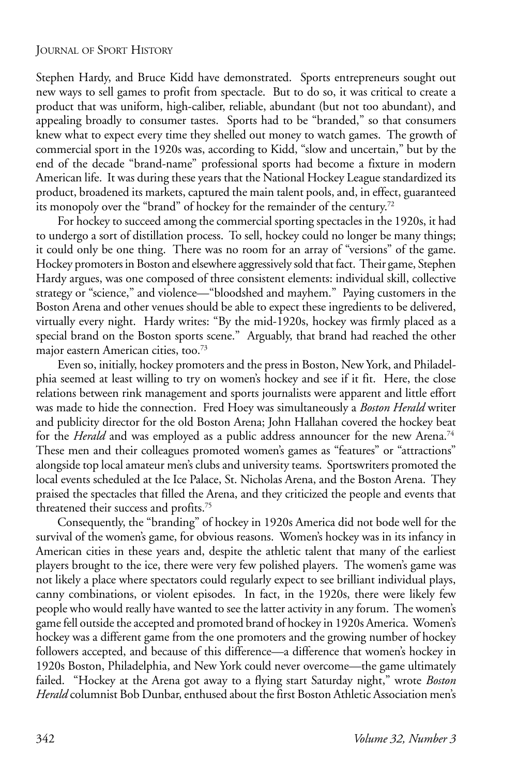Stephen Hardy, and Bruce Kidd have demonstrated. Sports entrepreneurs sought out new ways to sell games to profit from spectacle. But to do so, it was critical to create a product that was uniform, high-caliber, reliable, abundant (but not too abundant), and appealing broadly to consumer tastes. Sports had to be "branded," so that consumers knew what to expect every time they shelled out money to watch games. The growth of commercial sport in the 1920s was, according to Kidd, "slow and uncertain," but by the end of the decade "brand-name" professional sports had become a fixture in modern American life. It was during these years that the National Hockey League standardized its product, broadened its markets, captured the main talent pools, and, in effect, guaranteed its monopoly over the "brand" of hockey for the remainder of the century.<sup>72</sup>

For hockey to succeed among the commercial sporting spectacles in the 1920s, it had to undergo a sort of distillation process. To sell, hockey could no longer be many things; it could only be one thing. There was no room for an array of "versions" of the game. Hockey promoters in Boston and elsewhere aggressively sold that fact. Their game, Stephen Hardy argues, was one composed of three consistent elements: individual skill, collective strategy or "science," and violence—"bloodshed and mayhem." Paying customers in the Boston Arena and other venues should be able to expect these ingredients to be delivered, virtually every night. Hardy writes: "By the mid-1920s, hockey was firmly placed as a special brand on the Boston sports scene." Arguably, that brand had reached the other major eastern American cities, too.<sup>73</sup>

Even so, initially, hockey promoters and the press in Boston, New York, and Philadelphia seemed at least willing to try on women's hockey and see if it fit. Here, the close relations between rink management and sports journalists were apparent and little effort was made to hide the connection. Fred Hoey was simultaneously a *Boston Herald* writer and publicity director for the old Boston Arena; John Hallahan covered the hockey beat for the *Herald* and was employed as a public address announcer for the new Arena.<sup>74</sup> These men and their colleagues promoted women's games as "features" or "attractions" alongside top local amateur men's clubs and university teams. Sportswriters promoted the local events scheduled at the Ice Palace, St. Nicholas Arena, and the Boston Arena. They praised the spectacles that filled the Arena, and they criticized the people and events that threatened their success and profits.75

Consequently, the "branding" of hockey in 1920s America did not bode well for the survival of the women's game, for obvious reasons. Women's hockey was in its infancy in American cities in these years and, despite the athletic talent that many of the earliest players brought to the ice, there were very few polished players. The women's game was not likely a place where spectators could regularly expect to see brilliant individual plays, canny combinations, or violent episodes. In fact, in the 1920s, there were likely few people who would really have wanted to see the latter activity in any forum. The women's game fell outside the accepted and promoted brand of hockey in 1920s America. Women's hockey was a different game from the one promoters and the growing number of hockey followers accepted, and because of this difference—a difference that women's hockey in 1920s Boston, Philadelphia, and New York could never overcome—the game ultimately failed. "Hockey at the Arena got away to a flying start Saturday night," wrote *Boston Herald* columnist Bob Dunbar, enthused about the first Boston Athletic Association men's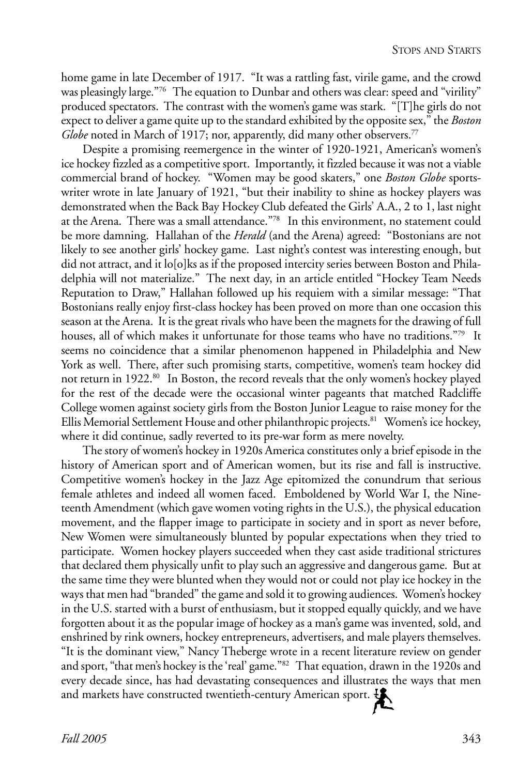home game in late December of 1917. "It was a rattling fast, virile game, and the crowd was pleasingly large."76 The equation to Dunbar and others was clear: speed and "virility" produced spectators. The contrast with the women's game was stark. "[T]he girls do not expect to deliver a game quite up to the standard exhibited by the opposite sex," the *Boston Globe* noted in March of 1917; nor, apparently, did many other observers.<sup>77</sup>

Despite a promising reemergence in the winter of 1920-1921, American's women's ice hockey fizzled as a competitive sport. Importantly, it fizzled because it was not a viable commercial brand of hockey. "Women may be good skaters," one *Boston Globe* sportswriter wrote in late January of 1921, "but their inability to shine as hockey players was demonstrated when the Back Bay Hockey Club defeated the Girls' A.A., 2 to 1, last night at the Arena. There was a small attendance."78 In this environment, no statement could be more damning. Hallahan of the *Herald* (and the Arena) agreed: "Bostonians are not likely to see another girls' hockey game. Last night's contest was interesting enough, but did not attract, and it lo[o]ks as if the proposed intercity series between Boston and Philadelphia will not materialize." The next day, in an article entitled "Hockey Team Needs Reputation to Draw," Hallahan followed up his requiem with a similar message: "That Bostonians really enjoy first-class hockey has been proved on more than one occasion this season at the Arena. It is the great rivals who have been the magnets for the drawing of full houses, all of which makes it unfortunate for those teams who have no traditions.<sup>"79</sup> It seems no coincidence that a similar phenomenon happened in Philadelphia and New York as well. There, after such promising starts, competitive, women's team hockey did not return in 1922.<sup>80</sup> In Boston, the record reveals that the only women's hockey played for the rest of the decade were the occasional winter pageants that matched Radcliffe College women against society girls from the Boston Junior League to raise money for the Ellis Memorial Settlement House and other philanthropic projects.<sup>81</sup> Women's ice hockey, where it did continue, sadly reverted to its pre-war form as mere novelty.

The story of women's hockey in 1920s America constitutes only a brief episode in the history of American sport and of American women, but its rise and fall is instructive. Competitive women's hockey in the Jazz Age epitomized the conundrum that serious female athletes and indeed all women faced. Emboldened by World War I, the Nineteenth Amendment (which gave women voting rights in the U.S.), the physical education movement, and the flapper image to participate in society and in sport as never before, New Women were simultaneously blunted by popular expectations when they tried to participate. Women hockey players succeeded when they cast aside traditional strictures that declared them physically unfit to play such an aggressive and dangerous game. But at the same time they were blunted when they would not or could not play ice hockey in the ways that men had "branded" the game and sold it to growing audiences. Women's hockey in the U.S. started with a burst of enthusiasm, but it stopped equally quickly, and we have forgotten about it as the popular image of hockey as a man's game was invented, sold, and enshrined by rink owners, hockey entrepreneurs, advertisers, and male players themselves. "It is the dominant view," Nancy Theberge wrote in a recent literature review on gender and sport, "that men's hockey is the 'real' game."82 That equation, drawn in the 1920s and every decade since, has had devastating consequences and illustrates the ways that men and markets have constructed twentieth-century American sport.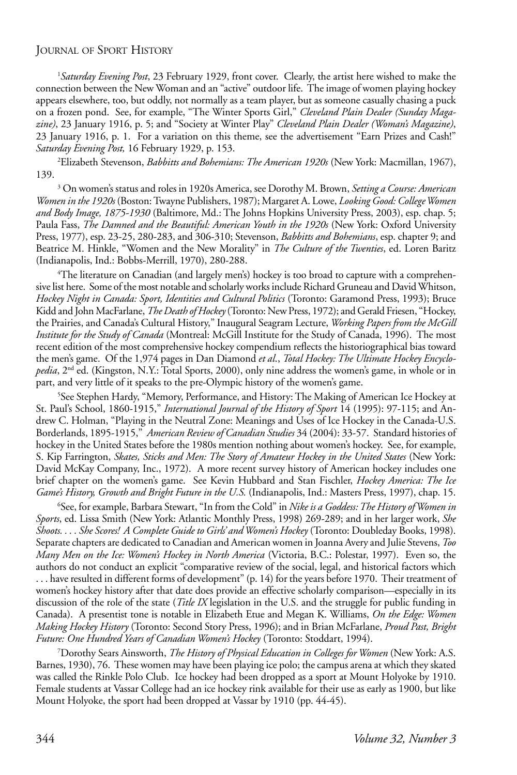1 *Saturday Evening Post*, 23 February 1929, front cover. Clearly, the artist here wished to make the connection between the New Woman and an "active" outdoor life. The image of women playing hockey appears elsewhere, too, but oddly, not normally as a team player, but as someone casually chasing a puck on a frozen pond. See, for example, "The Winter Sports Girl," *Cleveland Plain Dealer (Sunday Magazine)*, 23 January 1916, p. 5; and "Society at Winter Play" *Cleveland Plain Dealer (Woman's Magazine)*, 23 January 1916, p. 1. For a variation on this theme, see the advertisement "Earn Prizes and Cash!" *Saturday Evening Post,* 16 February 1929, p. 153.

2 Elizabeth Stevenson, *Babbitts and Bohemians: The American 1920s* (New York: Macmillan, 1967), 139.

3 On women's status and roles in 1920s America, see Dorothy M. Brown, *Setting a Course: American Women in the 1920s* (Boston: Twayne Publishers, 1987); Margaret A. Lowe, *Looking Good: College Women and Body Image, 1875-1930* (Baltimore, Md.: The Johns Hopkins University Press, 2003), esp. chap. 5; Paula Fass, *The Damned and the Beautiful: American Youth in the 1920s* (New York: Oxford University Press, 1977), esp. 23-25, 280-283, and 306-310; Stevenson, *Babbitts and Bohemians*, esp. chapter 9; and Beatrice M. Hinkle, "Women and the New Morality" in *The Culture of the Twenties*, ed. Loren Baritz (Indianapolis, Ind.: Bobbs-Merrill, 1970), 280-288.

4 The literature on Canadian (and largely men's) hockey is too broad to capture with a comprehensive list here. Some of the most notable and scholarly works include Richard Gruneau and David Whitson, *Hockey Night in Canada: Sport, Identities and Cultural Politics* (Toronto: Garamond Press, 1993); Bruce Kidd and John MacFarlane, *The Death of Hockey* (Toronto: New Press, 1972); and Gerald Friesen, "Hockey, the Prairies, and Canada's Cultural History," Inaugural Seagram Lecture, *Working Papers from the McGill Institute for the Study of Canada* (Montreal: McGill Institute for the Study of Canada, 1996). The most recent edition of the most comprehensive hockey compendium reflects the historiographical bias toward the men's game. Of the 1,974 pages in Dan Diamond *et al*., *Total Hockey: The Ultimate Hockey Encyclopedia*, 2<sup>nd</sup> ed. (Kingston, N.Y.: Total Sports, 2000), only nine address the women's game, in whole or in part, and very little of it speaks to the pre-Olympic history of the women's game.

5 See Stephen Hardy, "Memory, Performance, and History: The Making of American Ice Hockey at St. Paul's School, 1860-1915," *International Journal of the History of Sport* 14 (1995): 97-115; and Andrew C. Holman, "Playing in the Neutral Zone: Meanings and Uses of Ice Hockey in the Canada-U.S. Borderlands, 1895-1915," *American Review of Canadian Studies* 34 (2004): 33-57. Standard histories of hockey in the United States before the 1980s mention nothing about women's hockey. See, for example, S. Kip Farrington, *Skates, Sticks and Men: The Story of Amateur Hockey in the United States* (New York: David McKay Company, Inc., 1972). A more recent survey history of American hockey includes one brief chapter on the women's game. See Kevin Hubbard and Stan Fischler, *Hockey America: The Ice Game's History, Growth and Bright Future in the U.S.* (Indianapolis, Ind.: Masters Press, 1997), chap. 15.

6 See, for example, Barbara Stewart, "In from the Cold" in *Nike is a Goddess: The History of Women in Sports*, ed. Lissa Smith (New York: Atlantic Monthly Press, 1998) 269-289; and in her larger work, *She Shoots. . . . She Scores! A Complete Guide to Girls' and Women's Hockey* (Toronto: Doubleday Books, 1998). Separate chapters are dedicated to Canadian and American women in Joanna Avery and Julie Stevens, *Too Many Men on the Ice: Women's Hockey in North America* (Victoria, B.C.: Polestar, 1997). Even so, the authors do not conduct an explicit "comparative review of the social, legal, and historical factors which . . . have resulted in different forms of development" (p. 14) for the years before 1970. Their treatment of women's hockey history after that date does provide an effective scholarly comparison—especially in its discussion of the role of the state (*Title IX* legislation in the U.S. and the struggle for public funding in Canada). A presentist tone is notable in Elizabeth Etue and Megan K. Williams, *On the Edge: Women Making Hockey History* (Toronto: Second Story Press, 1996); and in Brian McFarlane, *Proud Past, Bright Future: One Hundred Years of Canadian Women's Hockey* (Toronto: Stoddart, 1994).

7 Dorothy Sears Ainsworth, *The History of Physical Education in Colleges for Women* (New York: A.S. Barnes, 1930), 76. These women may have been playing ice polo; the campus arena at which they skated was called the Rinkle Polo Club. Ice hockey had been dropped as a sport at Mount Holyoke by 1910. Female students at Vassar College had an ice hockey rink available for their use as early as 1900, but like Mount Holyoke, the sport had been dropped at Vassar by 1910 (pp. 44-45).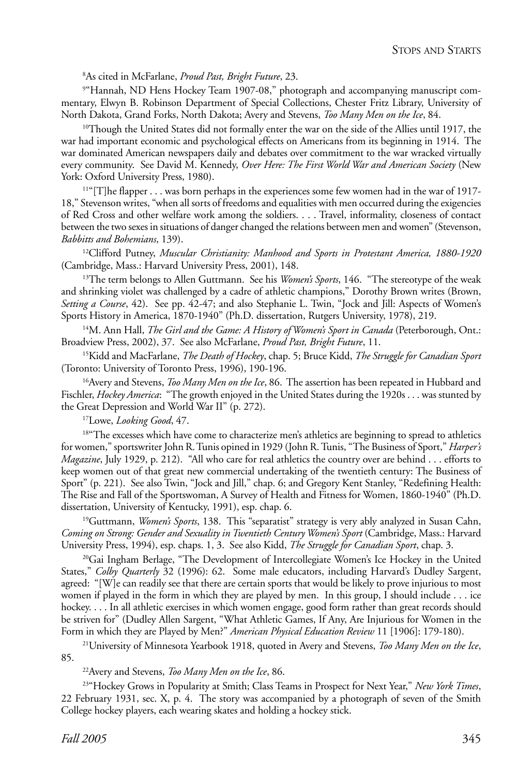8 As cited in McFarlane, *Proud Past, Bright Future*, 23.

9 "Hannah, ND Hens Hockey Team 1907-08," photograph and accompanying manuscript commentary, Elwyn B. Robinson Department of Special Collections, Chester Fritz Library, University of North Dakota, Grand Forks, North Dakota; Avery and Stevens, *Too Many Men on the Ice*, 84.

<sup>10</sup>Though the United States did not formally enter the war on the side of the Allies until 1917, the war had important economic and psychological effects on Americans from its beginning in 1914. The war dominated American newspapers daily and debates over commitment to the war wracked virtually every community. See David M. Kennedy, *Over Here: The First World War and American Society* (New York: Oxford University Press, 1980).

<sup>11"</sup>[T]he flapper . . . was born perhaps in the experiences some few women had in the war of 1917-18," Stevenson writes, "when all sorts of freedoms and equalities with men occurred during the exigencies of Red Cross and other welfare work among the soldiers. . . . Travel, informality, closeness of contact between the two sexes in situations of danger changed the relations between men and women" (Stevenson, *Babbitts and Bohemians*, 139).

12Clifford Putney, *Muscular Christianity: Manhood and Sports in Protestant America, 1880-1920* (Cambridge, Mass.: Harvard University Press, 2001), 148.

<sup>13</sup>The term belongs to Allen Guttmann. See his *Women's Sports*, 146. "The stereotype of the weak and shrinking violet was challenged by a cadre of athletic champions," Dorothy Brown writes (Brown, *Setting a Course*, 42). See pp. 42-47; and also Stephanie L. Twin, "Jock and Jill: Aspects of Women's Sports History in America, 1870-1940" (Ph.D. dissertation, Rutgers University, 1978), 219.

14M. Ann Hall, *The Girl and the Game: A History of Women's Sport in Canada* (Peterborough, Ont.: Broadview Press, 2002), 37. See also McFarlane, *Proud Past, Bright Future*, 11.

15Kidd and MacFarlane, *The Death of Hockey*, chap. 5; Bruce Kidd, *The Struggle for Canadian Sport* (Toronto: University of Toronto Press, 1996), 190-196.

16Avery and Stevens, *Too Many Men on the Ice*, 86. The assertion has been repeated in Hubbard and Fischler, *Hockey America*: "The growth enjoyed in the United States during the 1920s . . . was stunted by the Great Depression and World War II" (p. 272).

17Lowe, *Looking Good*, 47.

<sup>18"</sup>The excesses which have come to characterize men's athletics are beginning to spread to athletics for women," sportswriter John R. Tunis opined in 1929 (John R. Tunis, "The Business of Sport," *Harper's Magazine*, July 1929, p. 212). "All who care for real athletics the country over are behind . . . efforts to keep women out of that great new commercial undertaking of the twentieth century: The Business of Sport" (p. 221). See also Twin, "Jock and Jill," chap. 6; and Gregory Kent Stanley, "Redefining Health: The Rise and Fall of the Sportswoman, A Survey of Health and Fitness for Women, 1860-1940" (Ph.D. dissertation, University of Kentucky, 1991), esp. chap. 6.

19Guttmann, *Women's Sports*, 138. This "separatist" strategy is very ably analyzed in Susan Cahn, *Coming on Strong: Gender and Sexuality in Twentieth Century Women's Sport* (Cambridge, Mass.: Harvard University Press, 1994), esp. chaps. 1, 3. See also Kidd, *The Struggle for Canadian Sport*, chap. 3.

<sup>20</sup>Gai Ingham Berlage, "The Development of Intercollegiate Women's Ice Hockey in the United States," *Colby Quarterly* 32 (1996): 62. Some male educators, including Harvard's Dudley Sargent, agreed: "[W]e can readily see that there are certain sports that would be likely to prove injurious to most women if played in the form in which they are played by men. In this group, I should include . . . ice hockey. . . . In all athletic exercises in which women engage, good form rather than great records should be striven for" (Dudley Allen Sargent, "What Athletic Games, If Any, Are Injurious for Women in the Form in which they are Played by Men?" *American Physical Education Review* 11 [1906]: 179-180).

21University of Minnesota Yearbook 1918, quoted in Avery and Stevens, *Too Many Men on the Ice*, 85.

22Avery and Stevens, *Too Many Men on the Ice*, 86.

23"Hockey Grows in Popularity at Smith; Class Teams in Prospect for Next Year," *New York Times*, 22 February 1931, sec. X, p. 4. The story was accompanied by a photograph of seven of the Smith College hockey players, each wearing skates and holding a hockey stick.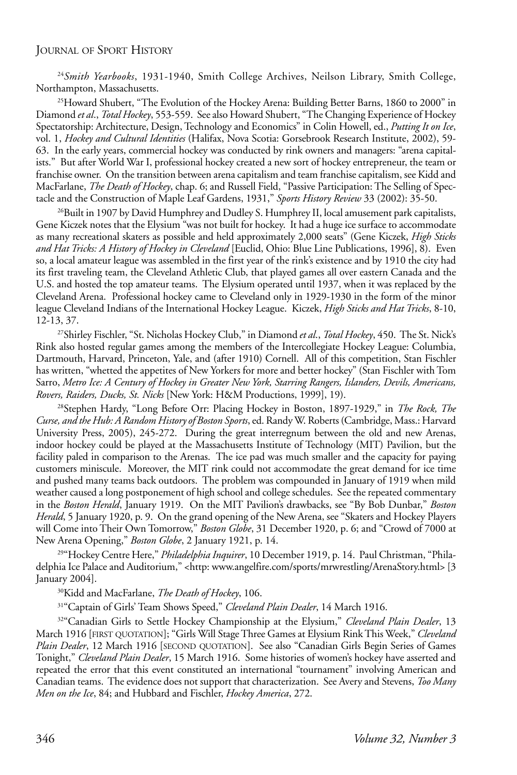<sup>24</sup>*Smith Yearbooks*, 1931-1940, Smith College Archives, Neilson Library, Smith College, Northampton, Massachusetts.

25Howard Shubert, "The Evolution of the Hockey Arena: Building Better Barns, 1860 to 2000" in Diamond *et al*., *Total Hockey*, 553-559. See also Howard Shubert, "The Changing Experience of Hockey Spectatorship: Architecture, Design, Technology and Economics" in Colin Howell, ed., *Putting It on Ice*, vol. 1, *Hockey and Cultural Identities* (Halifax, Nova Scotia: Gorsebrook Research Institute, 2002), 59- 63. In the early years, commercial hockey was conducted by rink owners and managers: "arena capitalists." But after World War I, professional hockey created a new sort of hockey entrepreneur, the team or franchise owner. On the transition between arena capitalism and team franchise capitalism, see Kidd and MacFarlane, *The Death of Hockey*, chap. 6; and Russell Field, "Passive Participation: The Selling of Spectacle and the Construction of Maple Leaf Gardens, 1931," *Sports History Review* 33 (2002): 35-50.

<sup>26</sup>Built in 1907 by David Humphrey and Dudley S. Humphrey II, local amusement park capitalists, Gene Kiczek notes that the Elysium "was not built for hockey. It had a huge ice surface to accommodate as many recreational skaters as possible and held approximately 2,000 seats" (Gene Kiczek, *High Sticks and Hat Tricks: A History of Hockey in Cleveland* [Euclid, Ohio: Blue Line Publications, 1996], 8). Even so, a local amateur league was assembled in the first year of the rink's existence and by 1910 the city had its first traveling team, the Cleveland Athletic Club, that played games all over eastern Canada and the U.S. and hosted the top amateur teams. The Elysium operated until 1937, when it was replaced by the Cleveland Arena. Professional hockey came to Cleveland only in 1929-1930 in the form of the minor league Cleveland Indians of the International Hockey League. Kiczek, *High Sticks and Hat Tricks*, 8-10, 12-13, 37.

27Shirley Fischler, "St. Nicholas Hockey Club," in Diamond *et al*., *Total Hockey*, 450. The St. Nick's Rink also hosted regular games among the members of the Intercollegiate Hockey League: Columbia, Dartmouth, Harvard, Princeton, Yale, and (after 1910) Cornell. All of this competition, Stan Fischler has written, "whetted the appetites of New Yorkers for more and better hockey" (Stan Fischler with Tom Sarro, *Metro Ice: A Century of Hockey in Greater New York, Starring Rangers, Islanders, Devils, Americans, Rovers, Raiders, Ducks, St. Nicks* [New York: H&M Productions, 1999], 19).

28Stephen Hardy, "Long Before Orr: Placing Hockey in Boston, 1897-1929," in *The Rock, The Curse, and the Hub: A Random History of Boston Sports*, ed. Randy W. Roberts (Cambridge, Mass.: Harvard University Press, 2005), 245-272. During the great interregnum between the old and new Arenas, indoor hockey could be played at the Massachusetts Institute of Technology (MIT) Pavilion, but the facility paled in comparison to the Arenas. The ice pad was much smaller and the capacity for paying customers miniscule. Moreover, the MIT rink could not accommodate the great demand for ice time and pushed many teams back outdoors. The problem was compounded in January of 1919 when mild weather caused a long postponement of high school and college schedules. See the repeated commentary in the *Boston Herald*, January 1919. On the MIT Pavilion's drawbacks, see "By Bob Dunbar," *Boston Herald*, 5 January 1920, p. 9. On the grand opening of the New Arena, see "Skaters and Hockey Players will Come into Their Own Tomorrow," *Boston Globe*, 31 December 1920, p. 6; and "Crowd of 7000 at New Arena Opening," *Boston Globe*, 2 January 1921, p. 14.

29"Hockey Centre Here," *Philadelphia Inquirer*, 10 December 1919, p. 14. Paul Christman, "Philadelphia Ice Palace and Auditorium," <http: www.angelfire.com/sports/mrwrestling/ArenaStory.html> [3] January 2004].

30Kidd and MacFarlane, *The Death of Hockey*, 106.

31"Captain of Girls' Team Shows Speed," *Cleveland Plain Dealer*, 14 March 1916.

32"Canadian Girls to Settle Hockey Championship at the Elysium," *Cleveland Plain Dealer*, 13 March 1916 [FIRST QUOTATION]; "Girls Will Stage Three Games at Elysium Rink This Week," *Cleveland Plain Dealer*, 12 March 1916 [SECOND QUOTATION]. See also "Canadian Girls Begin Series of Games Tonight," *Cleveland Plain Dealer*, 15 March 1916. Some histories of women's hockey have asserted and repeated the error that this event constituted an international "tournament" involving American and Canadian teams. The evidence does not support that characterization. See Avery and Stevens, *Too Many Men on the Ice*, 84; and Hubbard and Fischler, *Hockey America*, 272.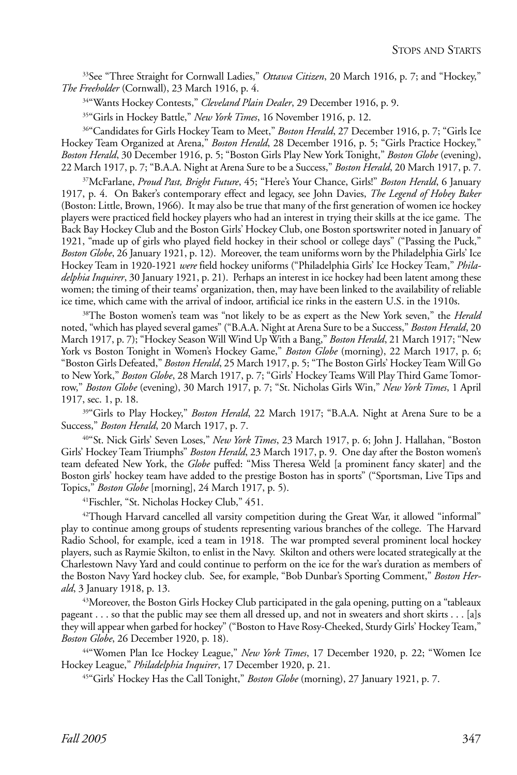33See "Three Straight for Cornwall Ladies," *Ottawa Citizen*, 20 March 1916, p. 7; and "Hockey," *The Freeholder* (Cornwall), 23 March 1916, p. 4.

34"Wants Hockey Contests," *Cleveland Plain Dealer*, 29 December 1916, p. 9.

35"Girls in Hockey Battle," *New York Times*, 16 November 1916, p. 12.

36"Candidates for Girls Hockey Team to Meet," *Boston Herald*, 27 December 1916, p. 7; "Girls Ice Hockey Team Organized at Arena," *Boston Herald*, 28 December 1916, p. 5; "Girls Practice Hockey," *Boston Herald*, 30 December 1916, p. 5; "Boston Girls Play New York Tonight," *Boston Globe* (evening), 22 March 1917, p. 7; "B.A.A. Night at Arena Sure to be a Success," *Boston Herald*, 20 March 1917, p. 7.

37McFarlane, *Proud Past, Bright Future*, 45; "Here's Your Chance, Girls!" *Boston Herald*, 6 January 1917, p. 4. On Baker's contemporary effect and legacy, see John Davies, *The Legend of Hobey Baker* (Boston: Little, Brown, 1966). It may also be true that many of the first generation of women ice hockey players were practiced field hockey players who had an interest in trying their skills at the ice game. The Back Bay Hockey Club and the Boston Girls' Hockey Club, one Boston sportswriter noted in January of 1921, "made up of girls who played field hockey in their school or college days" ("Passing the Puck," *Boston Globe*, 26 January 1921, p. 12). Moreover, the team uniforms worn by the Philadelphia Girls' Ice Hockey Team in 1920-1921 *were* field hockey uniforms ("Philadelphia Girls' Ice Hockey Team," *Philadelphia Inquirer*, 30 January 1921, p. 21). Perhaps an interest in ice hockey had been latent among these women; the timing of their teams' organization, then, may have been linked to the availability of reliable ice time, which came with the arrival of indoor, artificial ice rinks in the eastern U.S. in the 1910s.

38The Boston women's team was "not likely to be as expert as the New York seven," the *Herald* noted, "which has played several games" ("B.A.A. Night at Arena Sure to be a Success," *Boston Herald*, 20 March 1917, p. 7); "Hockey Season Will Wind Up With a Bang," *Boston Herald*, 21 March 1917; "New York vs Boston Tonight in Women's Hockey Game," *Boston Globe* (morning), 22 March 1917, p. 6; "Boston Girls Defeated," *Boston Herald*, 25 March 1917, p. 5; "The Boston Girls' Hockey Team Will Go to New York," *Boston Globe*, 28 March 1917, p. 7; "Girls' Hockey Teams Will Play Third Game Tomorrow," *Boston Globe* (evening), 30 March 1917, p. 7; "St. Nicholas Girls Win," *New York Times*, 1 April 1917, sec. 1, p. 18.

<sup>39</sup>"Girls to Play Hockey," *Boston Herald*, 22 March 1917; "B.A.A. Night at Arena Sure to be a Success," *Boston Herald*, 20 March 1917, p. 7.

40"St. Nick Girls' Seven Loses," *New York Times*, 23 March 1917, p. 6; John J. Hallahan, "Boston Girls' Hockey Team Triumphs" *Boston Herald*, 23 March 1917, p. 9. One day after the Boston women's team defeated New York, the *Globe* puffed: "Miss Theresa Weld [a prominent fancy skater] and the Boston girls' hockey team have added to the prestige Boston has in sports" ("Sportsman, Live Tips and Topics," *Boston Globe* [morning], 24 March 1917, p. 5).

41Fischler, "St. Nicholas Hockey Club," 451.

 $42$ Though Harvard cancelled all varsity competition during the Great War, it allowed "informal" play to continue among groups of students representing various branches of the college. The Harvard Radio School, for example, iced a team in 1918. The war prompted several prominent local hockey players, such as Raymie Skilton, to enlist in the Navy. Skilton and others were located strategically at the Charlestown Navy Yard and could continue to perform on the ice for the war's duration as members of the Boston Navy Yard hockey club. See, for example, "Bob Dunbar's Sporting Comment," *Boston Herald*, 3 January 1918, p. 13.

43Moreover, the Boston Girls Hockey Club participated in the gala opening, putting on a "tableaux pageant . . . so that the public may see them all dressed up, and not in sweaters and short skirts . . . [a]s they will appear when garbed for hockey" ("Boston to Have Rosy-Cheeked, Sturdy Girls' Hockey Team," *Boston Globe*, 26 December 1920, p. 18).

44"Women Plan Ice Hockey League," *New York Times*, 17 December 1920, p. 22; "Women Ice Hockey League," *Philadelphia Inquirer*, 17 December 1920, p. 21.

45"Girls' Hockey Has the Call Tonight," *Boston Globe* (morning), 27 January 1921, p. 7.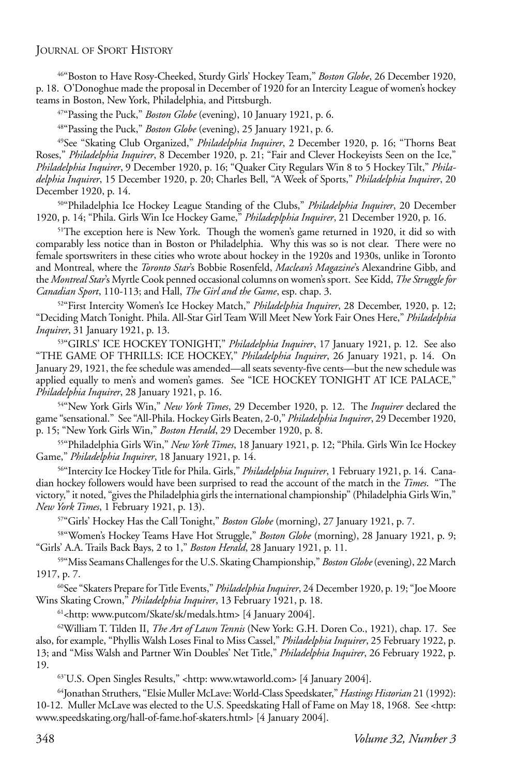46"Boston to Have Rosy-Cheeked, Sturdy Girls' Hockey Team," *Boston Globe*, 26 December 1920, p. 18. O'Donoghue made the proposal in December of 1920 for an Intercity League of women's hockey teams in Boston, New York, Philadelphia, and Pittsburgh.

47"Passing the Puck," *Boston Globe* (evening), 10 January 1921, p. 6.

48"Passing the Puck," *Boston Globe* (evening), 25 January 1921, p. 6.

49See "Skating Club Organized," *Philadelphia Inquirer*, 2 December 1920, p. 16; "Thorns Beat Roses," *Philadelphia Inquirer*, 8 December 1920, p. 21; "Fair and Clever Hockeyists Seen on the Ice," *Philadelphia Inquirer*, 9 December 1920, p. 16; "Quaker City Regulars Win 8 to 5 Hockey Tilt," *Philadelphia Inquirer*, 15 December 1920, p. 20; Charles Bell, "A Week of Sports," *Philadelphia Inquirer*, 20 December 1920, p. 14.

50"Philadelphia Ice Hockey League Standing of the Clubs," *Philadelphia Inquirer*, 20 December 1920, p. 14; "Phila. Girls Win Ice Hockey Game," *Philadeplphia Inquirer*, 21 December 1920, p. 16.

<sup>51</sup>The exception here is New York. Though the women's game returned in 1920, it did so with comparably less notice than in Boston or Philadelphia. Why this was so is not clear. There were no female sportswriters in these cities who wrote about hockey in the 1920s and 1930s, unlike in Toronto and Montreal, where the *Toronto Star*'s Bobbie Rosenfeld, *Maclean's Magazine*'s Alexandrine Gibb, and the *Montreal Star*'s Myrtle Cook penned occasional columns on women's sport. See Kidd, *The Struggle for Canadian Sport*, 110-113; and Hall, *The Girl and the Game*, esp. chap. 3.

52"First Intercity Women's Ice Hockey Match," *Philadelphia Inquirer*, 28 December, 1920, p. 12; "Deciding Match Tonight. Phila. All-Star Girl Team Will Meet New York Fair Ones Here," *Philadelphia Inquirer*, 31 January 1921, p. 13.

53"GIRLS' ICE HOCKEY TONIGHT," *Philadelphia Inquirer*, 17 January 1921, p. 12. See also "THE GAME OF THRILLS: ICE HOCKEY," *Philadelphia Inquirer*, 26 January 1921, p. 14. On January 29, 1921, the fee schedule was amended—all seats seventy-five cents—but the new schedule was applied equally to men's and women's games. See "ICE HOCKEY TONIGHT AT ICE PALACE," *Philadelphia Inquirer*, 28 January 1921, p. 16.

54"New York Girls Win," *New York Times*, 29 December 1920, p. 12. The *Inquirer* declared the game "sensational." See "All-Phila. Hockey Girls Beaten, 2-0," *Philadelphia Inquirer*, 29 December 1920, p. 15; "New York Girls Win," *Boston Herald*, 29 December 1920, p. 8.

55"Philadelphia Girls Win," *New York Times*, 18 January 1921, p. 12; "Phila. Girls Win Ice Hockey Game," *Philadelphia Inquirer*, 18 January 1921, p. 14.

56"Intercity Ice Hockey Title for Phila. Girls," *Philadelphia Inquirer*, 1 February 1921, p. 14. Canadian hockey followers would have been surprised to read the account of the match in the *Times*. "The victory," it noted, "gives the Philadelphia girls the international championship" (Philadelphia Girls Win," *New York Times*, 1 February 1921, p. 13).

57"Girls' Hockey Has the Call Tonight," *Boston Globe* (morning), 27 January 1921, p. 7.

58"Women's Hockey Teams Have Hot Struggle," *Boston Globe* (morning), 28 January 1921, p. 9; "Girls' A.A. Trails Back Bays, 2 to 1," *Boston Herald*, 28 January 1921, p. 11.

59"Miss Seamans Challenges for the U.S. Skating Championship," *Boston Globe* (evening), 22 March 1917, p. 7.

60See "Skaters Prepare for Title Events," *Philadelphia Inquirer*, 24 December 1920, p. 19; "Joe Moore Wins Skating Crown," *Philadelphia Inquirer*, 13 February 1921, p. 18.

<sup>61</sup><http: www.putcom/Skate/sk/medals.htm> [4 January 2004].

62William T. Tilden II, *The Art of Lawn Tennis* (New York: G.H. Doren Co., 1921), chap. 17. See also, for example, "Phyllis Walsh Loses Final to Miss Cassel," *Philadelphia Inquirer*, 25 February 1922, p. 13; and "Miss Walsh and Partner Win Doubles' Net Title," *Philadelphia Inquirer*, 26 February 1922, p. 19.

63"U.S. Open Singles Results," <http: www.wtaworld.com> [4 January 2004].

64Jonathan Struthers, "Elsie Muller McLave: World-Class Speedskater," *Hastings Historian* 21 (1992): 10-12. Muller McLave was elected to the U.S. Speedskating Hall of Fame on May 18, 1968. See <http: www.speedskating.org/hall-of-fame.hof-skaters.html> [4 January 2004].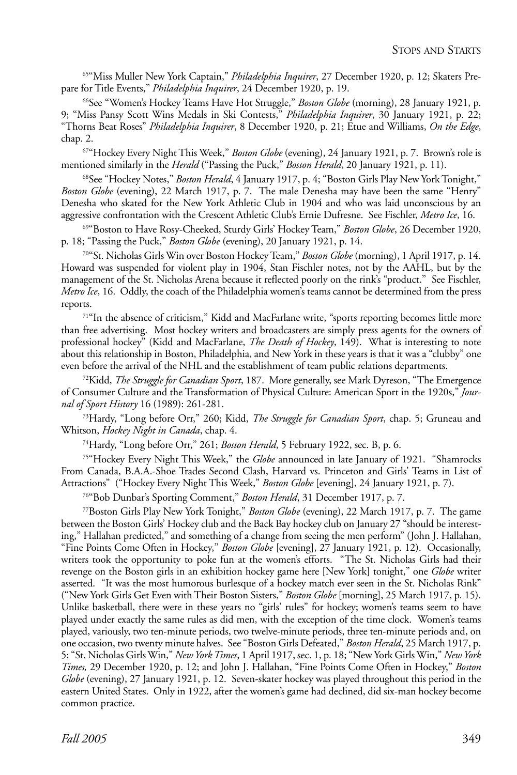65"Miss Muller New York Captain," *Philadelphia Inquirer*, 27 December 1920, p. 12; Skaters Prepare for Title Events," *Philadelphia Inquirer*, 24 December 1920, p. 19.

66See "Women's Hockey Teams Have Hot Struggle," *Boston Globe* (morning), 28 January 1921, p. 9; "Miss Pansy Scott Wins Medals in Ski Contests," *Philadelphia Inquirer*, 30 January 1921, p. 22; "Thorns Beat Roses" *Philadelphia Inquirer*, 8 December 1920, p. 21; Etue and Williams, *On the Edge*, chap. 2.

67"Hockey Every Night This Week," *Boston Globe* (evening), 24 January 1921, p. 7. Brown's role is mentioned similarly in the *Herald* ("Passing the Puck," *Boston Herald*, 20 January 1921, p. 11).

<sup>68</sup>See "Hockey Notes," *Boston Herald*, 4 January 1917, p. 4; "Boston Girls Play New York Tonight," *Boston Globe* (evening), 22 March 1917, p. 7. The male Denesha may have been the same "Henry" Denesha who skated for the New York Athletic Club in 1904 and who was laid unconscious by an aggressive confrontation with the Crescent Athletic Club's Ernie Dufresne. See Fischler, *Metro Ice*, 16.

69"Boston to Have Rosy-Cheeked, Sturdy Girls' Hockey Team," *Boston Globe*, 26 December 1920, p. 18; "Passing the Puck," *Boston Globe* (evening), 20 January 1921, p. 14.

70"St. Nicholas Girls Win over Boston Hockey Team," *Boston Globe* (morning), 1 April 1917, p. 14. Howard was suspended for violent play in 1904, Stan Fischler notes, not by the AAHL, but by the management of the St. Nicholas Arena because it reflected poorly on the rink's "product." See Fischler, *Metro Ice*, 16. Oddly, the coach of the Philadelphia women's teams cannot be determined from the press reports.

71"In the absence of criticism," Kidd and MacFarlane write, "sports reporting becomes little more than free advertising. Most hockey writers and broadcasters are simply press agents for the owners of professional hockey" (Kidd and MacFarlane, *The Death of Hockey*, 149). What is interesting to note about this relationship in Boston, Philadelphia, and New York in these years is that it was a "clubby" one even before the arrival of the NHL and the establishment of team public relations departments.

72Kidd, *The Struggle for Canadian Sport*, 187. More generally, see Mark Dyreson, "The Emergence of Consumer Culture and the Transformation of Physical Culture: American Sport in the 1920s," *Journal of Sport History* 16 (1989): 261-281.

73Hardy, "Long before Orr," 260; Kidd, *The Struggle for Canadian Sport*, chap. 5; Gruneau and Whitson, *Hockey Night in Canada*, chap. 4.

74Hardy, "Long before Orr," 261; *Boston Herald*, 5 February 1922, sec. B, p. 6.

75"Hockey Every Night This Week," the *Globe* announced in late January of 1921. "Shamrocks From Canada, B.A.A.-Shoe Trades Second Clash, Harvard vs. Princeton and Girls' Teams in List of Attractions" ("Hockey Every Night This Week," *Boston Globe* [evening], 24 January 1921, p. 7).

76"Bob Dunbar's Sporting Comment," *Boston Herald*, 31 December 1917, p. 7.

77Boston Girls Play New York Tonight," *Boston Globe* (evening), 22 March 1917, p. 7. The game between the Boston Girls' Hockey club and the Back Bay hockey club on January 27 "should be interesting," Hallahan predicted," and something of a change from seeing the men perform" (John J. Hallahan, "Fine Points Come Often in Hockey," *Boston Globe* [evening], 27 January 1921, p. 12). Occasionally, writers took the opportunity to poke fun at the women's efforts. "The St. Nicholas Girls had their revenge on the Boston girls in an exhibition hockey game here [New York] tonight," one *Globe* writer asserted. "It was the most humorous burlesque of a hockey match ever seen in the St. Nicholas Rink" ("New York Girls Get Even with Their Boston Sisters," *Boston Globe* [morning], 25 March 1917, p. 15). Unlike basketball, there were in these years no "girls' rules" for hockey; women's teams seem to have played under exactly the same rules as did men, with the exception of the time clock. Women's teams played, variously, two ten-minute periods, two twelve-minute periods, three ten-minute periods and, on one occasion, two twenty minute halves. See "Boston Girls Defeated," *Boston Herald*, 25 March 1917, p. 5; "St. Nicholas Girls Win," *New York Times*, 1 April 1917, sec. 1, p. 18; "New York Girls Win," *New York Times,* 29 December 1920, p. 12; and John J. Hallahan, "Fine Points Come Often in Hockey," *Boston Globe* (evening), 27 January 1921, p. 12. Seven-skater hockey was played throughout this period in the eastern United States. Only in 1922, after the women's game had declined, did six-man hockey become common practice.